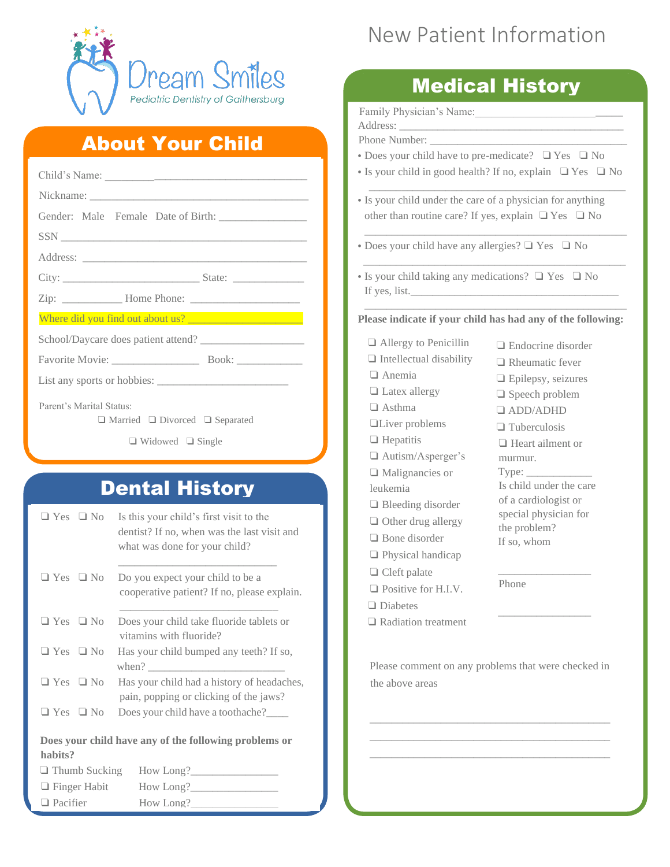

#### About Your Child

| Parent's Marital Status:<br>$\Box$ Married $\Box$ Divorced $\Box$ Separated |                      |                                                                   |  |  |
|-----------------------------------------------------------------------------|----------------------|-------------------------------------------------------------------|--|--|
|                                                                             |                      | $\Box$ Widowed $\Box$ Single                                      |  |  |
|                                                                             |                      |                                                                   |  |  |
|                                                                             |                      |                                                                   |  |  |
|                                                                             |                      | <b>Dental History</b>                                             |  |  |
| $\Box$ Yes $\Box$ No                                                        |                      | Is this your child's first visit to the                           |  |  |
|                                                                             |                      | dentist? If no, when was the last visit and                       |  |  |
|                                                                             |                      | what was done for your child?                                     |  |  |
| $\Box$ Yes $\Box$ No                                                        |                      | Do you expect your child to be a                                  |  |  |
|                                                                             |                      | cooperative patient? If no, please explain.                       |  |  |
|                                                                             | $\Box$ Yes $\Box$ No | Does your child take fluoride tablets or                          |  |  |
|                                                                             |                      | vitamins with fluoride?                                           |  |  |
| $\Box$ Yes $\Box$ No                                                        |                      | Has your child bumped any teeth? If so,                           |  |  |
| $\Box$ Yes $\Box$ No                                                        |                      | when? $\frac{1}{2}$<br>Has your child had a history of headaches, |  |  |
|                                                                             |                      | pain, popping or clicking of the jaws?                            |  |  |
| $\Box$ Yes                                                                  | $\Box$ No            | Does your child have a toothache?____                             |  |  |
|                                                                             |                      |                                                                   |  |  |
| habits?                                                                     |                      | Does your child have any of the following problems or             |  |  |
|                                                                             | $\Box$ Thumb Sucking |                                                                   |  |  |
| $\Box$ Finger Habit                                                         |                      |                                                                   |  |  |
| $\Box$ Pacifier                                                             |                      | How Long?                                                         |  |  |

# New Patient Information

## Medical History

Family Physician's Name: Address: Phone Number: \_\_\_\_\_\_\_\_\_\_\_\_\_\_\_\_\_\_\_\_\_\_\_\_\_\_\_\_\_\_\_\_\_\_\_\_ **•** Does your child have to pre-medicate? ❏ Yes ❏ No **•** Is your child in good health? If no, explain ❏ Yes ❏ No  $\overline{\phantom{a}}$  , and the contract of the contract of the contract of the contract of the contract of the contract of the contract of the contract of the contract of the contract of the contract of the contract of the contrac **•** Is your child under the care of a physician for anything other than routine care? If yes, explain  $\Box$  Yes  $\Box$  No \_\_\_\_\_\_\_\_\_\_\_\_\_\_\_\_\_\_\_\_\_\_\_\_\_\_\_\_\_\_\_\_\_\_\_\_\_\_\_\_\_\_\_\_\_\_\_\_ **•** Does your child have any allergies? ❏ Yes ❏ No  $\frac{1}{\sqrt{2\pi}}\left[\frac{1}{2(1-2\pi)^2}\left(1-\frac{1}{2(1-2\pi)^2}\right)\frac{1}{2(1-2\pi)^2}\right],$ **•** Is your child taking any medications? ❏ Yes ❏ No If yes, list. \_\_\_\_\_\_\_\_\_\_\_\_\_\_\_\_\_\_\_\_\_\_\_\_\_\_\_\_\_\_\_\_\_\_\_\_\_\_\_\_\_\_\_\_\_\_\_\_ **Please indicate if your child has had any of the following:** ❏ Allergy to Penicillin ❏ Intellectual disability ❏ Anemia ❏ Latex allergy ❏ Asthma ❏Liver problems ❏ Endocrine disorder ❏ Rheumatic fever ❏ Epilepsy, seizures ❏ Speech problem ❏ ADD/ADHD

- ❏ Hepatitis
- ❏ Autism/Asperger's
- ❏ Malignancies or leukemia
- ❏ Bleeding disorder
- ❏ Other drug allergy
- ❏ Bone disorder
- ❏ Physical handicap
- ❏ Cleft palate
- ❏ Positive for H.I.V.
- ❏ Diabetes
- ❏ Radiation treatment
- ❏ Tuberculosis ❏ Heart ailment or murmur. Type: Is child under the care of a cardiologist or special physician for the problem? If so, whom

\_\_\_\_\_\_\_\_\_\_\_\_\_\_\_\_\_

\_\_\_\_\_\_\_\_\_\_\_\_\_\_\_\_\_

Phone

Please comment on any problems that were checked in the above areas

\_\_\_\_\_\_\_\_\_\_\_\_\_\_\_\_\_\_\_\_\_\_\_\_\_\_\_\_\_\_\_\_\_\_\_\_\_\_\_\_\_\_\_\_ \_\_\_\_\_\_\_\_\_\_\_\_\_\_\_\_\_\_\_\_\_\_\_\_\_\_\_\_\_\_\_\_\_\_\_\_\_\_\_\_\_\_\_\_ \_\_\_\_\_\_\_\_\_\_\_\_\_\_\_\_\_\_\_\_\_\_\_\_\_\_\_\_\_\_\_\_\_\_\_\_\_\_\_\_\_\_\_\_